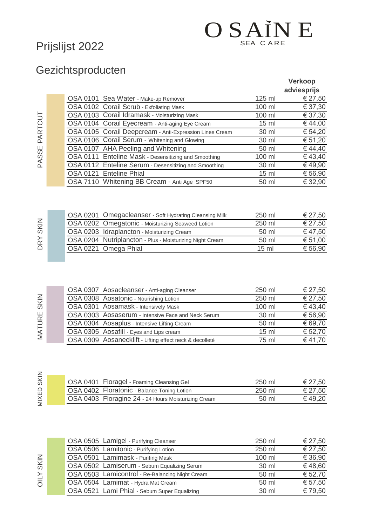## O SAIN E SEA CARE

# Prijslijst 2022

## **Gezichtsproducten**

|  |                                                         |                  | <b>Verkoop</b><br>adviesprijs |
|--|---------------------------------------------------------|------------------|-------------------------------|
|  | OSA 0101 Sea Water - Make-up Remover                    | $125$ ml         | € 27,50                       |
|  | OSA 0102 Corail Scrub - Exfoliating Mask                | $100 \mathrm{m}$ | € 37,30                       |
|  | OSA 0103 Corail Idramask - Moisturizing Mask            | $100 \mathrm{m}$ | € 37,30                       |
|  | OSA 0104 Corail Eyecream - Anti-aging Eye Cream         | $15 \text{ ml}$  | € 44,00                       |
|  | OSA 0105 Corail Deepcream - Anti-Expression Lines Cream | 30 ml            | € 54,20                       |
|  | OSA 0106 Corail Serum - Whitening and Glowing           | 30 ml            | € 51,20                       |
|  | OSA 0107 AHA Peeling and Whitening                      | 50 ml            | € 44,40                       |
|  | OSA 0111 Enteline Mask - Desensitizing and Smoothing    | $100$ ml         | € 43,40                       |
|  | OSA 0112 Enteline Serum - Desensitizing and Smoothing   | 30 ml            | €49,90                        |
|  | OSA 0121 Enteline Phial                                 | $15 \text{ ml}$  | € 56,90                       |
|  | OSA 7110 Whitening BB Cream - Anti Age SPF50            | 50 ml            | € 32,90                       |

MATURE SKIN DRY SKIN DRY SKIN PASSE PARTOUT DRY SKIN

PASSE PARTOUT

|  | OSA 0201 Omegacleanser - Soft Hydrating Cleansing Milk   | 250 ml           | € 27,50 |
|--|----------------------------------------------------------|------------------|---------|
|  | OSA 0202 Omegatonic - Moisturizing Seaweed Lotion        | 250 ml           | € 27,50 |
|  | OSA 0203 Idraplancton - Moisturizing Cream               | $50 \text{ ml}$  | € 47,50 |
|  | OSA 0204 Nutriplancton - Plus - Moisturizing Night Cream | $50 \mathrm{ml}$ | € 51,00 |
|  | OSA 0221 Omega Phial                                     | $15 \text{ ml}$  | € 56,90 |
|  |                                                          |                  |         |

|  | OSA 0307 Aosacleanser - Anti-aging Cleanser             | 250 ml          | € 27,50 |
|--|---------------------------------------------------------|-----------------|---------|
|  | OSA 0308 Aosatonic - Nourishing Lotion                  | 250 ml          | € 27,50 |
|  | OSA 0301 Aosamask - Intensively Mask                    | 100 ml          | € 43,40 |
|  | OSA 0303 Aosaserum - Intensive Face and Neck Serum      | 30 ml           | € 56,90 |
|  | OSA 0304 Aosaplus - Intensive Lifting Cream             | 50 ml           | € 69,70 |
|  | OSA 0305 Aosafill - Eyes and Lips cream                 | $15 \text{ ml}$ | € 52,70 |
|  | OSA 0309 Aosanecklift - Lifting effect neck & decolleté | 75 ml           | €41.70  |

MIXED SKIN MIXED SKIN

MATURE SKIN

|  | OSA 0401 Floragel - Foaming Cleansing Gel           | 250 ml | € 27,50 |
|--|-----------------------------------------------------|--------|---------|
|  | <b>OSA 0402 Floratonic - Balance Toning Lotion</b>  | 250 ml | € 27.50 |
|  | OSA 0403 Floragine 24 - 24 Hours Moisturizing Cream | .50 ml | € 49,20 |

OILY SKIN

| 250 ml           | € 27,50 |
|------------------|---------|
| 250 ml           | € 27,50 |
| $100$ ml         | € 36,90 |
| 30 ml            | €48,60  |
| 50 ml            | € 52,70 |
| 50 ml            | € 57,50 |
| $30 \mathrm{ml}$ | € 79,50 |
|                  |         |